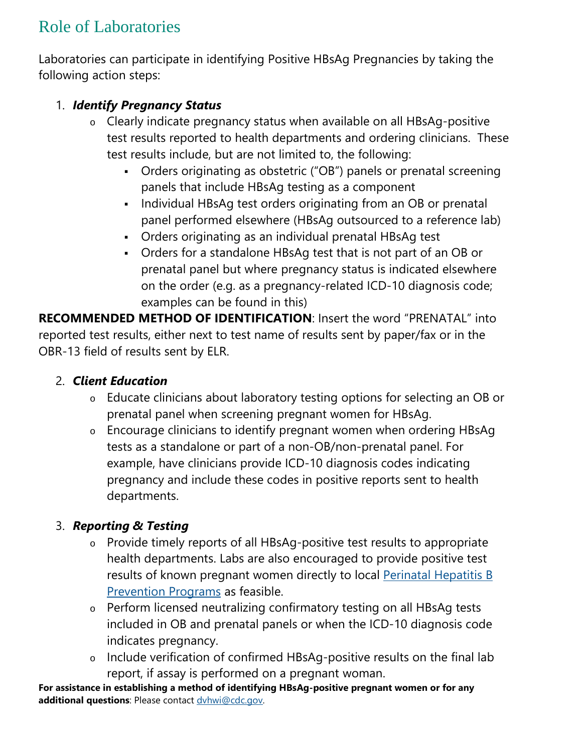# Role of Laboratories

Laboratories can participate in identifying Positive HBsAg Pregnancies by taking the following action steps:

### 1. *Identify Pregnancy Status*

- o Clearly indicate pregnancy status when available on all HBsAg-positive test results reported to health departments and ordering clinicians. These test results include, but are not limited to, the following:
	- Orders originating as obstetric ("OB") panels or prenatal screening panels that include HBsAg testing as a component
	- Individual HBsAg test orders originating from an OB or prenatal panel performed elsewhere (HBsAg outsourced to a reference lab)
	- Orders originating as an individual prenatal HBsAg test
	- Orders for a standalone HBsAg test that is not part of an OB or prenatal panel but where pregnancy status is indicated elsewhere on the order (e.g. as a pregnancy-related ICD-10 diagnosis code; examples can be found in this)

**RECOMMENDED METHOD OF IDENTIFICATION**: Insert the word "PRENATAL" into reported test results, either next to test name of results sent by paper/fax or in the OBR-13 field of results sent by ELR.

#### 2. *Client Education*

- o Educate clinicians about laboratory testing options for selecting an OB or prenatal panel when screening pregnant women for HBsAg.
- o Encourage clinicians to identify pregnant women when ordering HBsAg tests as a standalone or part of a non-OB/non-prenatal panel. For example, have clinicians provide ICD-10 diagnosis codes indicating pregnancy and include these codes in positive reports sent to health departments.

## 3. *Reporting & Testing*

- o Provide timely reports of all HBsAg-positive test results to appropriate health departments. Labs are also encouraged to provide positive test results of known pregnant women directly to local [Perinatal Hepatitis B](https://www.cdc.gov/vaccines/vpd/hepb/hcp/perinatal-contacts.html)  [Prevention Programs](https://www.cdc.gov/vaccines/vpd/hepb/hcp/perinatal-contacts.html) as feasible.
- o Perform licensed neutralizing confirmatory testing on all HBsAg tests included in OB and prenatal panels or when the ICD-10 diagnosis code indicates pregnancy.
- o Include verification of confirmed HBsAg-positive results on the final lab report, if assay is performed on a pregnant woman.

**For assistance in establishing a method of identifying HBsAg-positive pregnant women or for any additional questions**: Please contact [dvhwi@cdc.gov.](mailto:dvhwi@cdc.gov)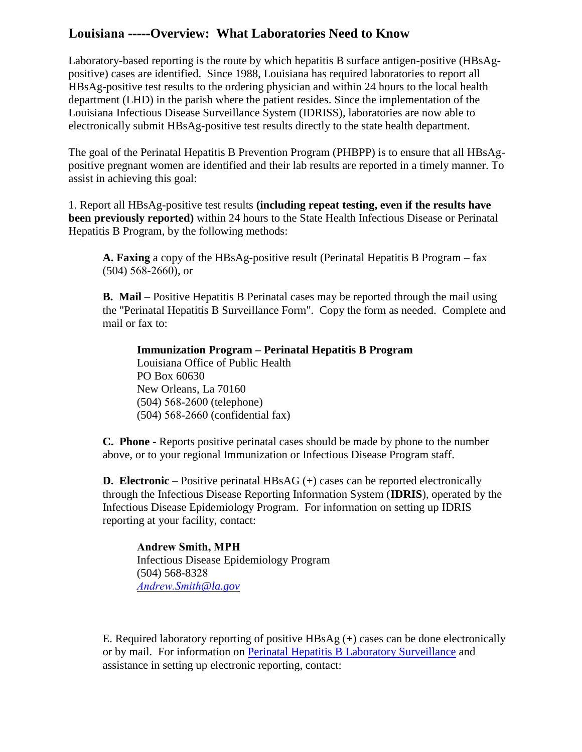#### **Louisiana -----Overview: What Laboratories Need to Know**

Laboratory-based reporting is the route by which hepatitis B surface antigen-positive (HBsAgpositive) cases are identified. Since 1988, Louisiana has required laboratories to report all HBsAg-positive test results to the ordering physician and within 24 hours to the local health department (LHD) in the parish where the patient resides. Since the implementation of the Louisiana Infectious Disease Surveillance System (IDRISS), laboratories are now able to electronically submit HBsAg-positive test results directly to the state health department.

The goal of the Perinatal Hepatitis B Prevention Program (PHBPP) is to ensure that all HBsAgpositive pregnant women are identified and their lab results are reported in a timely manner. To assist in achieving this goal:

1. Report all HBsAg-positive test results **(including repeat testing, even if the results have been previously reported)** within 24 hours to the State Health Infectious Disease or Perinatal Hepatitis B Program, by the following methods:

**A. Faxing** a copy of the HBsAg-positive result (Perinatal Hepatitis B Program – fax (504) 568-2660), or

**B. Mail** – Positive Hepatitis B Perinatal cases may be reported through the mail using the "Perinatal Hepatitis B Surveillance Form". Copy the form as needed. Complete and mail or fax to:

**Immunization Program – Perinatal Hepatitis B Program** Louisiana Office of Public Health PO Box 60630 New Orleans, La 70160 (504) 568-2600 (telephone) (504) 568-2660 (confidential fax)

**C. Phone -** Reports positive perinatal cases should be made by phone to the number above, or to your regional Immunization or Infectious Disease Program staff.

**D. Electronic** – Positive perinatal HBsAG (+) cases can be reported electronically through the Infectious Disease Reporting Information System (**IDRIS**), operated by the Infectious Disease Epidemiology Program. For information on setting up IDRIS reporting at your facility, contact:

**Andrew Smith, MPH** Infectious Disease Epidemiology Program (504) 568-8328 *[Andrew.Smith](mailto:Christine.romalewski@la.gov)@la.gov*

E. Required laboratory reporting of positive  $HBSAg (+)$  cases can be done electronically or by mail. For information on [Perinatal Hepatitis B Laboratory Surveillance](http://new.dhh.louisiana.gov/index.cfm/page/927) and assistance in setting up electronic reporting, contact: